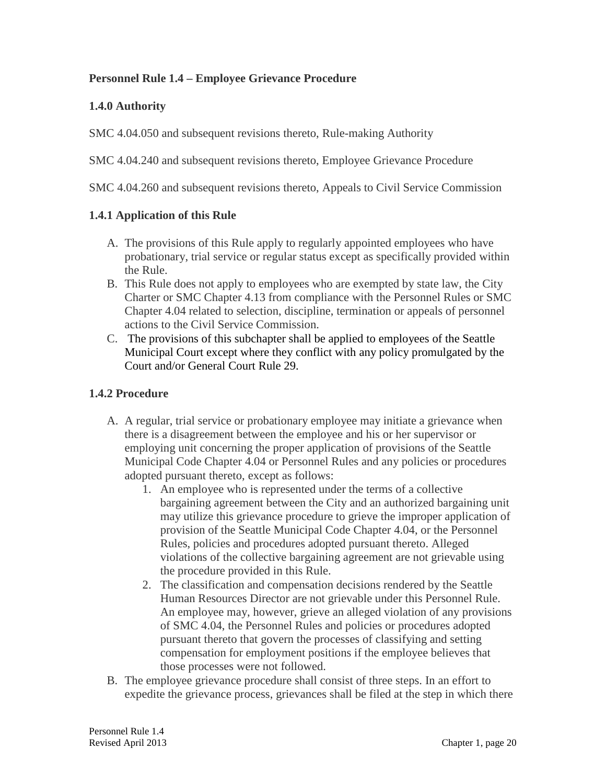## **Personnel Rule 1.4 – Employee Grievance Procedure**

## **1.4.0 Authority**

SMC 4.04.050 and subsequent revisions thereto, Rule-making Authority

SMC 4.04.240 and subsequent revisions thereto, Employee Grievance Procedure

SMC 4.04.260 and subsequent revisions thereto, Appeals to Civil Service Commission

## **1.4.1 Application of this Rule**

- A. The provisions of this Rule apply to regularly appointed employees who have probationary, trial service or regular status except as specifically provided within the Rule.
- B. This Rule does not apply to employees who are exempted by state law, the City Charter or SMC Chapter 4.13 from compliance with the Personnel Rules or SMC Chapter 4.04 related to selection, discipline, termination or appeals of personnel actions to the Civil Service Commission.
- C. The provisions of this subchapter shall be applied to employees of the Seattle Municipal Court except where they conflict with any policy promulgated by the Court and/or General Court Rule 29.

#### **1.4.2 Procedure**

- A. A regular, trial service or probationary employee may initiate a grievance when there is a disagreement between the employee and his or her supervisor or employing unit concerning the proper application of provisions of the Seattle Municipal Code Chapter 4.04 or Personnel Rules and any policies or procedures adopted pursuant thereto, except as follows:
	- 1. An employee who is represented under the terms of a collective bargaining agreement between the City and an authorized bargaining unit may utilize this grievance procedure to grieve the improper application of provision of the Seattle Municipal Code Chapter 4.04, or the Personnel Rules, policies and procedures adopted pursuant thereto. Alleged violations of the collective bargaining agreement are not grievable using the procedure provided in this Rule.
	- 2. The classification and compensation decisions rendered by the Seattle Human Resources Director are not grievable under this Personnel Rule. An employee may, however, grieve an alleged violation of any provisions of SMC 4.04, the Personnel Rules and policies or procedures adopted pursuant thereto that govern the processes of classifying and setting compensation for employment positions if the employee believes that those processes were not followed.
- B. The employee grievance procedure shall consist of three steps. In an effort to expedite the grievance process, grievances shall be filed at the step in which there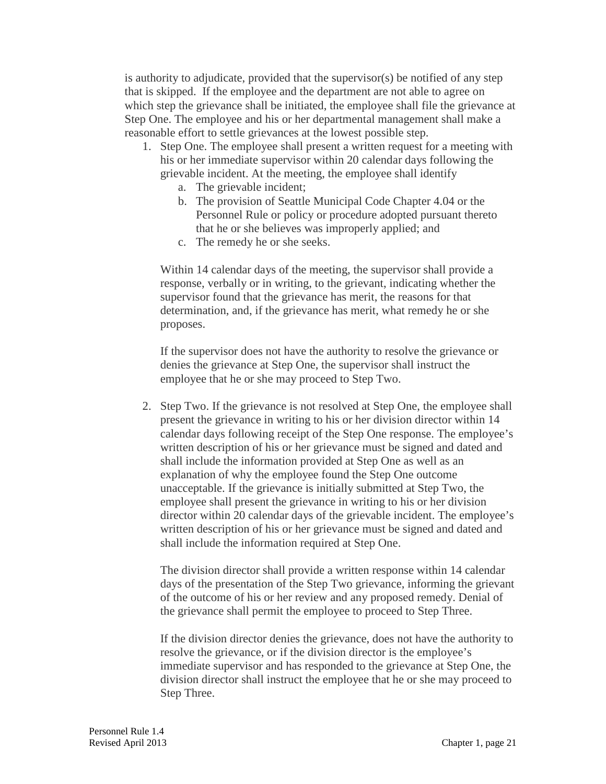is authority to adjudicate, provided that the supervisor(s) be notified of any step that is skipped. If the employee and the department are not able to agree on which step the grievance shall be initiated, the employee shall file the grievance at Step One. The employee and his or her departmental management shall make a reasonable effort to settle grievances at the lowest possible step.

- 1. Step One. The employee shall present a written request for a meeting with his or her immediate supervisor within 20 calendar days following the grievable incident. At the meeting, the employee shall identify
	- a. The grievable incident;
	- b. The provision of Seattle Municipal Code Chapter 4.04 or the Personnel Rule or policy or procedure adopted pursuant thereto that he or she believes was improperly applied; and
	- c. The remedy he or she seeks.

Within 14 calendar days of the meeting, the supervisor shall provide a response, verbally or in writing, to the grievant, indicating whether the supervisor found that the grievance has merit, the reasons for that determination, and, if the grievance has merit, what remedy he or she proposes.

If the supervisor does not have the authority to resolve the grievance or denies the grievance at Step One, the supervisor shall instruct the employee that he or she may proceed to Step Two.

2. Step Two. If the grievance is not resolved at Step One, the employee shall present the grievance in writing to his or her division director within 14 calendar days following receipt of the Step One response. The employee's written description of his or her grievance must be signed and dated and shall include the information provided at Step One as well as an explanation of why the employee found the Step One outcome unacceptable. If the grievance is initially submitted at Step Two, the employee shall present the grievance in writing to his or her division director within 20 calendar days of the grievable incident. The employee's written description of his or her grievance must be signed and dated and shall include the information required at Step One.

The division director shall provide a written response within 14 calendar days of the presentation of the Step Two grievance, informing the grievant of the outcome of his or her review and any proposed remedy. Denial of the grievance shall permit the employee to proceed to Step Three.

If the division director denies the grievance, does not have the authority to resolve the grievance, or if the division director is the employee's immediate supervisor and has responded to the grievance at Step One, the division director shall instruct the employee that he or she may proceed to Step Three.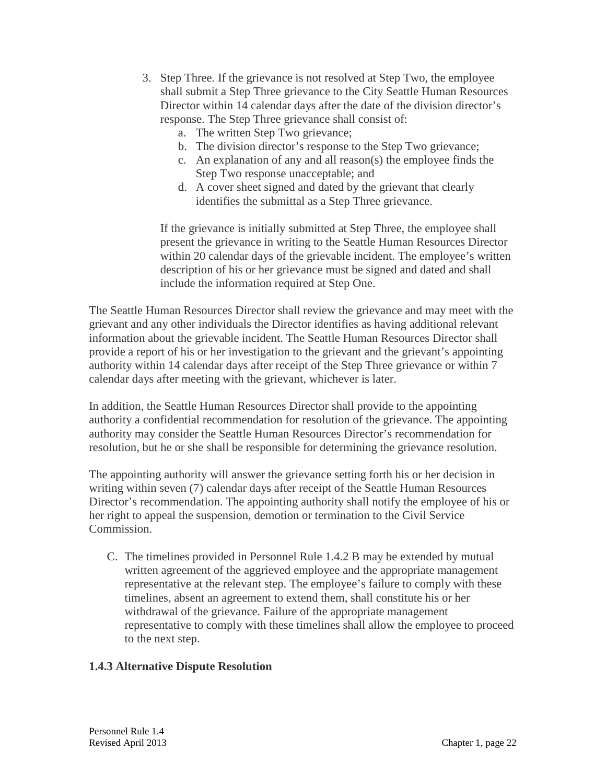- 3. Step Three. If the grievance is not resolved at Step Two, the employee shall submit a Step Three grievance to the City Seattle Human Resources Director within 14 calendar days after the date of the division director's response. The Step Three grievance shall consist of:
	- a. The written Step Two grievance;
	- b. The division director's response to the Step Two grievance;
	- c. An explanation of any and all reason(s) the employee finds the Step Two response unacceptable; and
	- d. A cover sheet signed and dated by the grievant that clearly identifies the submittal as a Step Three grievance.

If the grievance is initially submitted at Step Three, the employee shall present the grievance in writing to the Seattle Human Resources Director within 20 calendar days of the grievable incident. The employee's written description of his or her grievance must be signed and dated and shall include the information required at Step One.

The Seattle Human Resources Director shall review the grievance and may meet with the grievant and any other individuals the Director identifies as having additional relevant information about the grievable incident. The Seattle Human Resources Director shall provide a report of his or her investigation to the grievant and the grievant's appointing authority within 14 calendar days after receipt of the Step Three grievance or within 7 calendar days after meeting with the grievant, whichever is later.

In addition, the Seattle Human Resources Director shall provide to the appointing authority a confidential recommendation for resolution of the grievance. The appointing authority may consider the Seattle Human Resources Director's recommendation for resolution, but he or she shall be responsible for determining the grievance resolution.

The appointing authority will answer the grievance setting forth his or her decision in writing within seven (7) calendar days after receipt of the Seattle Human Resources Director's recommendation. The appointing authority shall notify the employee of his or her right to appeal the suspension, demotion or termination to the Civil Service Commission.

C. The timelines provided in Personnel Rule 1.4.2 B may be extended by mutual written agreement of the aggrieved employee and the appropriate management representative at the relevant step. The employee's failure to comply with these timelines, absent an agreement to extend them, shall constitute his or her withdrawal of the grievance. Failure of the appropriate management representative to comply with these timelines shall allow the employee to proceed to the next step.

# **1.4.3 Alternative Dispute Resolution**